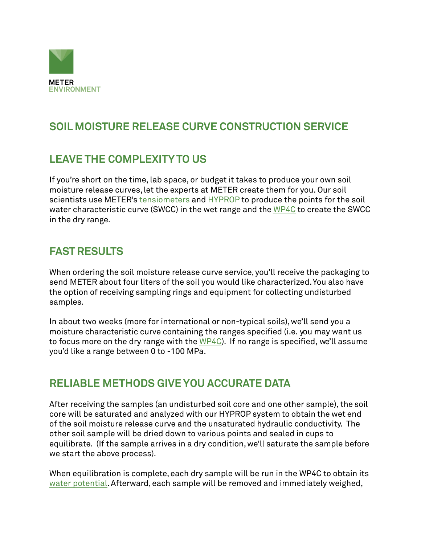

# **SOIL MOISTURE RELEASE CURVE CONSTRUCTION SERVICE**

## **LEAVE THE COMPLEXITY TO US**

If you're short on the time, lab space, or budget it takes to produce your own soil moisture release curves, let the experts at METER create them for you. Our soil scientists use METER's [tensiometers](https://www.metergroup.com/en/meter-environment/products/teros-31-lab-tensiometer) and [HYPROP](https://www.metergroup.com/meter_products/hyprop-2/) to produce the points for the soil water characteristic curve (SWCC) in the wet range and the [WP4C](https://www.metergroup.com/meter_products/wp4c/) to create the SWCC in the dry range.

#### **FAST RESULTS**

When ordering the soil moisture release curve service, you'll receive the packaging to send METER about four liters of the soil you would like characterized. You also have the option of receiving sampling rings and equipment for collecting undisturbed samples.

In about two weeks (more for international or non-typical soils), we'll send you a moisture characteristic curve containing the ranges specified (i.e. you may want us to focus more on the dry range with the  $WPAC$ ). If no range is specified, we'll assume you'd like a range between 0 to -100 MPa.

#### **RELIABLE METHODS GIVE YOU ACCURATE DATA**

After receiving the samples (an undisturbed soil core and one other sample), the soil core will be saturated and analyzed with our HYPROP system to obtain the wet end of the soil moisture release curve and the unsaturated hydraulic conductivity. The other soil sample will be dried down to various points and sealed in cups to equilibrate. (If the sample arrives in a dry condition, we'll saturate the sample before we start the above process).

When equilibration is complete, each dry sample will be run in the WP4C to obtain its [water potential](https://www.metergroup.com/meter_knowledgebase/defining-water-potential/). Afterward, each sample will be removed and immediately weighed,